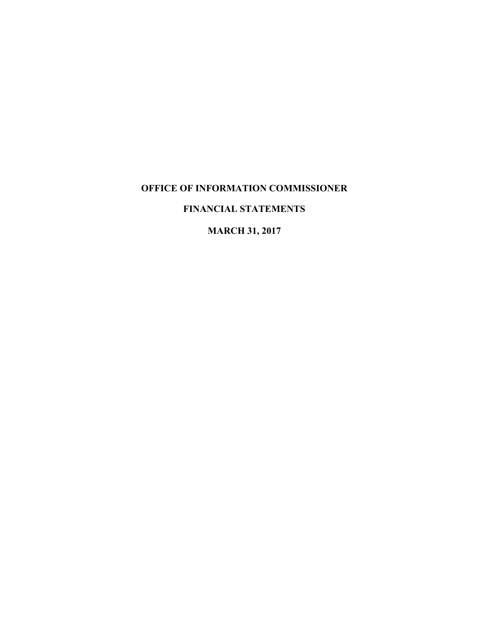# **FINANCIAL STATEMENTS**

**MARCH 31, 2017**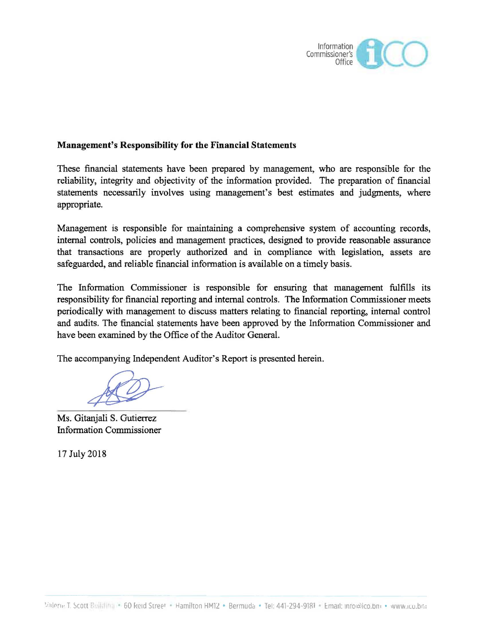

#### **Management's Responsibility for the Financial Statements**

These financial statements have been prepared by management, who are responsible for the reliability, integrity and objectivity of the information provided. The preparation of financial statements necessarily involves using management's best estimates and judgments, where appropriate.

Management is responsible for maintaining a comprehensive system of accounting records, internal controls, policies and management practices, designed to provide reasonable assurance that transactions are properly authorized and in compliance with legislation, assets are safeguarded, and reliable financial information is available on a timely basis.

The Information Commissioner is responsible for ensuring that management fulfills its responsibility for financial reporting and internal controls. The Information Commissioner meets periodically with management to discuss matters relating to financial reporting, internal control and audits. The financial statements have been approved by the Information Commissioner and have been examined by the Office of the Auditor General.

The accompanying Independent Auditor's Report is presented herein.

Ms. Gitanjali S. Gutierrez Information Commissioner

17 July 2018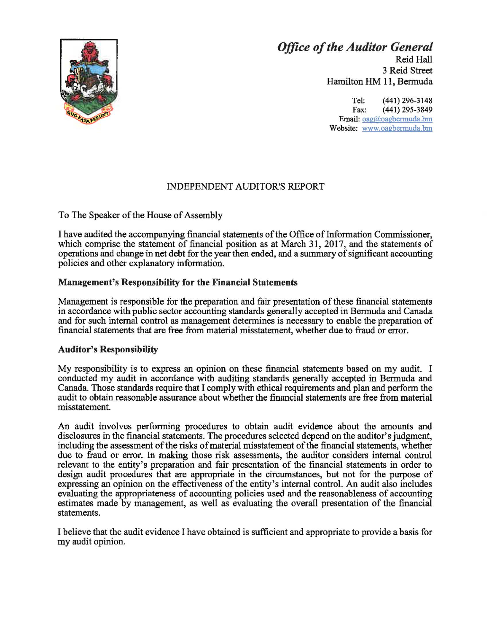

# *Office of the Auditor General*

Reid Hall 3 Reid Street Hamilton HM 11, Bermuda

Tel: (441) 296-3148<br>Fax: (441) 295-3849 (441) 295-3849 Email: oag@oagbermuda.bm Website: www.oagbermuda.bm

## INDEPENDENT AUDITOR'S REPORT

To The Speaker of the House of Assembly

I have audited the accompanying financial statements of the Office of Information Commissioner, which comprise the statement of financial position as at March 31, 2017, and the statements of operations and change in net debt for the year then ended, and a summary of significant accounting policies and other explanatory information.

#### **Management's Responsibility for the Financial Statements**

Management is responsible for the preparation and fair presentation of these financial statements in accordance with public sector accounting standards generally accepted in Bermuda and Canada and for such internal control as management determines is necessary to enable the preparation of financial statements that are free from material misstatement, whether due to fraud or error.

#### **Auditor's Responsibility**

My responsibility is to express an opinion on these financial statements based on my audit. I conducted my audit in accordance with auditing standards generally accepted in Bermuda and Canada. Those standards require that I comply with ethical requirements and plan and perform the audit to obtain reasonable assurance about whether the financial statements are free from material misstatement.

An audit involves performing procedures to obtain audit evidence about the amounts and disclosures in the financial statements. The procedures selected depend on the auditor's judgment, including the assessment of the risks of material misstatement of the financial statements, whether due to fraud or error. In making those risk assessments, the auditor considers internal control relevant to the entity's preparation and fair presentation of the financial statements in order to design audit procedures that are appropriate in the circumstances, but not for the purpose of expressing an opinion on the effectiveness of the entity's internal control. An audit also includes evaluating the appropriateness of accounting policies used and the reasonableness of accounting estimates made by management, as well as evaluating the overall presentation of the financial statements.

I believe that the audit evidence I have obtained is sufficient and appropriate to provide a basis for my audit opinion.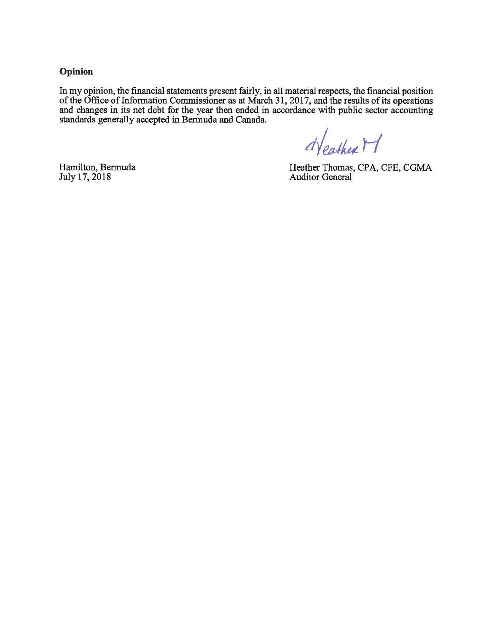**Opinion** 

In my opinion, the financial statements present fairly, in all material respects, the financial position of the Office of Information Commissioner as at March 31, 2017, and the results of its operations and changes in its net debt for the year then ended in accordance with public sector accounting standards generally accepted in Bermuda and Canada.

Heather M.

Hamilton, Bermuda July17, 2018

Heather Thomas, CPA, CFE, CGMA Auditor General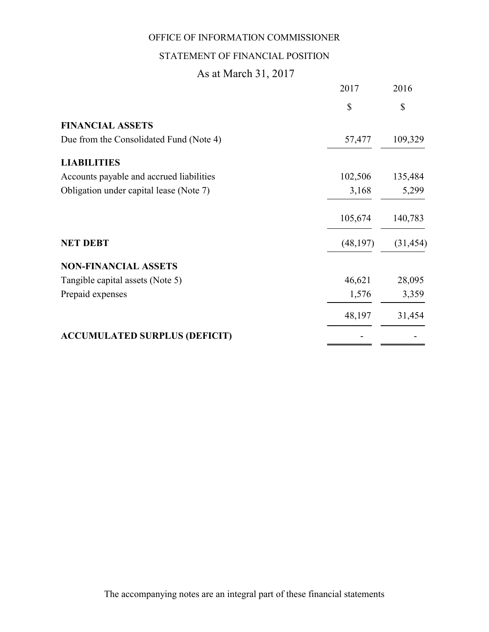## STATEMENT OF FINANCIAL POSITION

# As at March 31, 2017

|                                          | 2017      | 2016      |
|------------------------------------------|-----------|-----------|
|                                          | \$        | \$        |
| <b>FINANCIAL ASSETS</b>                  |           |           |
| Due from the Consolidated Fund (Note 4)  | 57,477    | 109,329   |
| <b>LIABILITIES</b>                       |           |           |
| Accounts payable and accrued liabilities | 102,506   | 135,484   |
| Obligation under capital lease (Note 7)  | 3,168     | 5,299     |
|                                          | 105,674   | 140,783   |
| <b>NET DEBT</b>                          | (48, 197) | (31, 454) |
| <b>NON-FINANCIAL ASSETS</b>              |           |           |
| Tangible capital assets (Note 5)         | 46,621    | 28,095    |
| Prepaid expenses                         | 1,576     | 3,359     |
|                                          | 48,197    | 31,454    |
| <b>ACCUMULATED SURPLUS (DEFICIT)</b>     |           |           |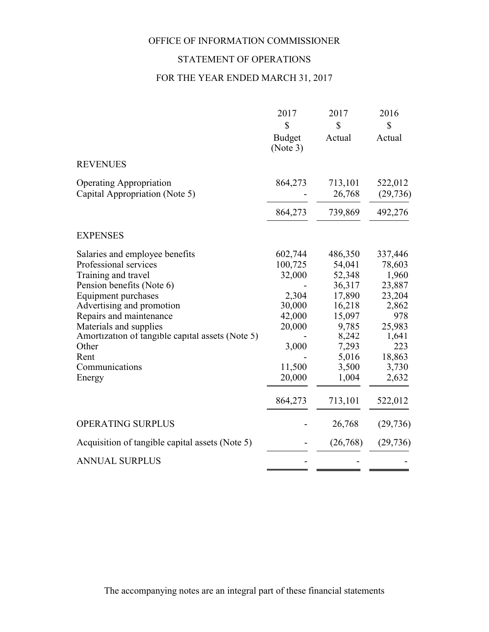# STATEMENT OF OPERATIONS

## FOR THE YEAR ENDED MARCH 31, 2017

|                                                                                                                                                                                                                                                                                                                              | 2017<br>$\mathsf{\$}$<br><b>Budget</b><br>(Note 3)                                               | 2017<br>\$<br>Actual                                                                                                      | 2016<br>\$<br>Actual                                                                                                 |
|------------------------------------------------------------------------------------------------------------------------------------------------------------------------------------------------------------------------------------------------------------------------------------------------------------------------------|--------------------------------------------------------------------------------------------------|---------------------------------------------------------------------------------------------------------------------------|----------------------------------------------------------------------------------------------------------------------|
| <b>REVENUES</b>                                                                                                                                                                                                                                                                                                              |                                                                                                  |                                                                                                                           |                                                                                                                      |
| <b>Operating Appropriation</b><br>Capital Appropriation (Note 5)                                                                                                                                                                                                                                                             | 864,273                                                                                          | 713,101<br>26,768                                                                                                         | 522,012<br>(29, 736)                                                                                                 |
|                                                                                                                                                                                                                                                                                                                              | 864,273                                                                                          | 739,869                                                                                                                   | 492,276                                                                                                              |
| <b>EXPENSES</b>                                                                                                                                                                                                                                                                                                              |                                                                                                  |                                                                                                                           |                                                                                                                      |
| Salaries and employee benefits<br>Professional services<br>Training and travel<br>Pension benefits (Note 6)<br><b>Equipment purchases</b><br>Advertising and promotion<br>Repairs and maintenance<br>Materials and supplies<br>Amortization of tangible capital assets (Note 5)<br>Other<br>Rent<br>Communications<br>Energy | 602,744<br>100,725<br>32,000<br>2,304<br>30,000<br>42,000<br>20,000<br>3,000<br>11,500<br>20,000 | 486,350<br>54,041<br>52,348<br>36,317<br>17,890<br>16,218<br>15,097<br>9,785<br>8,242<br>7,293<br>5,016<br>3,500<br>1,004 | 337,446<br>78,603<br>1,960<br>23,887<br>23,204<br>2,862<br>978<br>25,983<br>1,641<br>223<br>18,863<br>3,730<br>2,632 |
|                                                                                                                                                                                                                                                                                                                              | 864,273                                                                                          | 713,101                                                                                                                   | 522,012                                                                                                              |
| <b>OPERATING SURPLUS</b>                                                                                                                                                                                                                                                                                                     |                                                                                                  | 26,768                                                                                                                    | (29, 736)                                                                                                            |
| Acquisition of tangible capital assets (Note 5)                                                                                                                                                                                                                                                                              |                                                                                                  | (26,768)                                                                                                                  | (29, 736)                                                                                                            |
| <b>ANNUAL SURPLUS</b>                                                                                                                                                                                                                                                                                                        |                                                                                                  |                                                                                                                           |                                                                                                                      |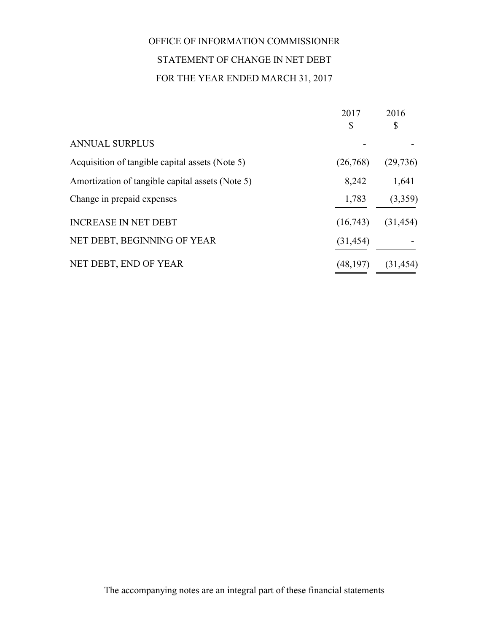# OFFICE OF INFORMATION COMMISSIONER STATEMENT OF CHANGE IN NET DEBT FOR THE YEAR ENDED MARCH 31, 2017

|                                                  | 2017<br>\$ | 2016<br>\$ |
|--------------------------------------------------|------------|------------|
| <b>ANNUAL SURPLUS</b>                            |            |            |
| Acquisition of tangible capital assets (Note 5)  | (26,768)   | (29, 736)  |
| Amortization of tangible capital assets (Note 5) | 8,242      | 1,641      |
| Change in prepaid expenses                       | 1,783      | (3,359)    |
| <b>INCREASE IN NET DEBT</b>                      | (16,743)   | (31, 454)  |
| NET DEBT, BEGINNING OF YEAR                      | (31, 454)  |            |
| NET DEBT, END OF YEAR                            | (48, 197)  | (31, 454)  |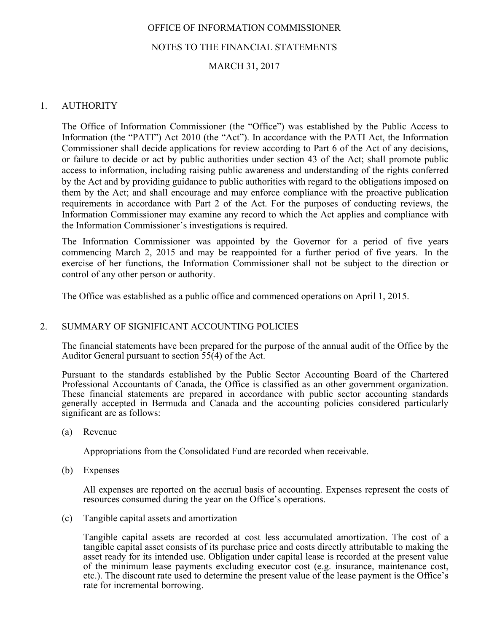#### NOTES TO THE FINANCIAL STATEMENTS

#### MARCH 31, 2017

#### 1. AUTHORITY

The Office of Information Commissioner (the "Office") was established by the Public Access to Information (the "PATI") Act 2010 (the "Act"). In accordance with the PATI Act, the Information Commissioner shall decide applications for review according to Part 6 of the Act of any decisions, or failure to decide or act by public authorities under section 43 of the Act; shall promote public access to information, including raising public awareness and understanding of the rights conferred by the Act and by providing guidance to public authorities with regard to the obligations imposed on them by the Act; and shall encourage and may enforce compliance with the proactive publication requirements in accordance with Part 2 of the Act. For the purposes of conducting reviews, the Information Commissioner may examine any record to which the Act applies and compliance with the Information Commissioner's investigations is required.

The Information Commissioner was appointed by the Governor for a period of five years commencing March 2, 2015 and may be reappointed for a further period of five years. In the exercise of her functions, the Information Commissioner shall not be subject to the direction or control of any other person or authority.

The Office was established as a public office and commenced operations on April 1, 2015.

#### 2. SUMMARY OF SIGNIFICANT ACCOUNTING POLICIES

The financial statements have been prepared for the purpose of the annual audit of the Office by the Auditor General pursuant to section  $55(4)$  of the Act.

Pursuant to the standards established by the Public Sector Accounting Board of the Chartered Professional Accountants of Canada, the Office is classified as an other government organization. These financial statements are prepared in accordance with public sector accounting standards generally accepted in Bermuda and Canada and the accounting policies considered particularly significant are as follows:

(a) Revenue

Appropriations from the Consolidated Fund are recorded when receivable.

(b) Expenses

All expenses are reported on the accrual basis of accounting. Expenses represent the costs of resources consumed during the year on the Office's operations.

(c) Tangible capital assets and amortization

Tangible capital assets are recorded at cost less accumulated amortization. The cost of a tangible capital asset consists of its purchase price and costs directly attributable to making the asset ready for its intended use. Obligation under capital lease is recorded at the present value of the minimum lease payments excluding executor cost (e.g. insurance, maintenance cost, etc.). The discount rate used to determine the present value of the lease payment is the Office's rate for incremental borrowing.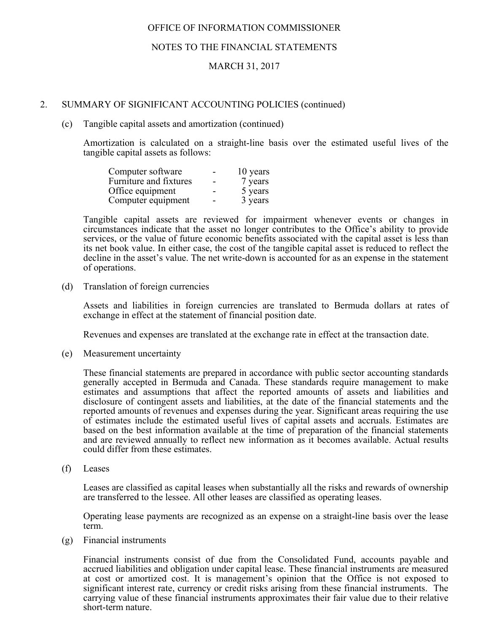#### NOTES TO THE FINANCIAL STATEMENTS

#### MARCH 31, 2017

#### 2. SUMMARY OF SIGNIFICANT ACCOUNTING POLICIES (continued)

#### (c) Tangible capital assets and amortization (continued)

Amortization is calculated on a straight-line basis over the estimated useful lives of the tangible capital assets as follows:

| Computer software      | 10 years |
|------------------------|----------|
| Furniture and fixtures | 7 years  |
| Office equipment       | 5 years  |
| Computer equipment     | 3 years  |

Tangible capital assets are reviewed for impairment whenever events or changes in circumstances indicate that the asset no longer contributes to the Office's ability to provide services, or the value of future economic benefits associated with the capital asset is less than its net book value. In either case, the cost of the tangible capital asset is reduced to reflect the decline in the asset's value. The net write-down is accounted for as an expense in the statement of operations.

#### (d) Translation of foreign currencies

Assets and liabilities in foreign currencies are translated to Bermuda dollars at rates of exchange in effect at the statement of financial position date.

Revenues and expenses are translated at the exchange rate in effect at the transaction date.

(e) Measurement uncertainty

These financial statements are prepared in accordance with public sector accounting standards generally accepted in Bermuda and Canada. These standards require management to make estimates and assumptions that affect the reported amounts of assets and liabilities and disclosure of contingent assets and liabilities, at the date of the financial statements and the reported amounts of revenues and expenses during the year. Significant areas requiring the use of estimates include the estimated useful lives of capital assets and accruals. Estimates are based on the best information available at the time of preparation of the financial statements and are reviewed annually to reflect new information as it becomes available. Actual results could differ from these estimates.

(f) Leases

Leases are classified as capital leases when substantially all the risks and rewards of ownership are transferred to the lessee. All other leases are classified as operating leases.

Operating lease payments are recognized as an expense on a straight-line basis over the lease term.

(g) Financial instruments

Financial instruments consist of due from the Consolidated Fund, accounts payable and accrued liabilities and obligation under capital lease. These financial instruments are measured at cost or amortized cost. It is management's opinion that the Office is not exposed to significant interest rate, currency or credit risks arising from these financial instruments. The carrying value of these financial instruments approximates their fair value due to their relative short-term nature.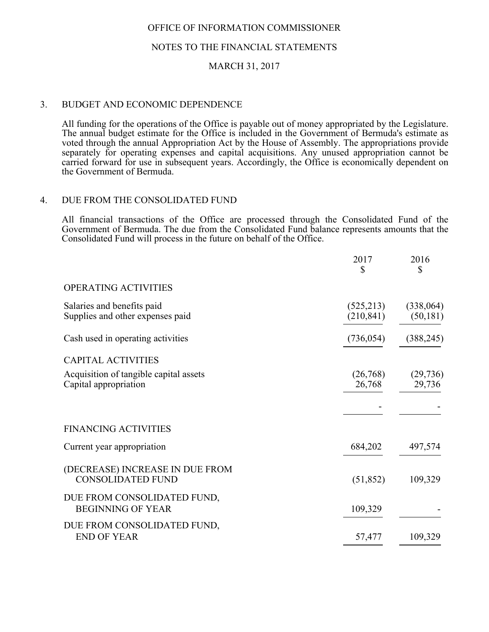#### NOTES TO THE FINANCIAL STATEMENTS

#### MARCH 31, 2017

#### 3. BUDGET AND ECONOMIC DEPENDENCE

 All funding for the operations of the Office is payable out of money appropriated by the Legislature. The annual budget estimate for the Office is included in the Government of Bermuda's estimate as voted through the annual Appropriation Act by the House of Assembly. The appropriations provide separately for operating expenses and capital acquisitions. Any unused appropriation cannot be carried forward for use in subsequent years. Accordingly, the Office is economically dependent on the Government of Bermuda.

#### 4. DUE FROM THE CONSOLIDATED FUND

All financial transactions of the Office are processed through the Consolidated Fund of the Government of Bermuda. The due from the Consolidated Fund balance represents amounts that the Consolidated Fund will process in the future on behalf of the Office.

|                                                                 | 2017<br>\$              | 2016<br>\$             |
|-----------------------------------------------------------------|-------------------------|------------------------|
| <b>OPERATING ACTIVITIES</b>                                     |                         |                        |
| Salaries and benefits paid<br>Supplies and other expenses paid  | (525,213)<br>(210, 841) | (338,064)<br>(50, 181) |
| Cash used in operating activities                               | (736, 054)              | (388, 245)             |
| <b>CAPITAL ACTIVITIES</b>                                       |                         |                        |
| Acquisition of tangible capital assets<br>Capital appropriation | (26,768)<br>26,768      | (29, 736)<br>29,736    |
|                                                                 |                         |                        |
| <b>FINANCING ACTIVITIES</b>                                     |                         |                        |
| Current year appropriation                                      | 684,202                 | 497,574                |
| (DECREASE) INCREASE IN DUE FROM<br><b>CONSOLIDATED FUND</b>     | (51, 852)               | 109,329                |
| DUE FROM CONSOLIDATED FUND,<br><b>BEGINNING OF YEAR</b>         | 109,329                 |                        |
| DUE FROM CONSOLIDATED FUND,<br><b>END OF YEAR</b>               | 57,477                  | 109,329                |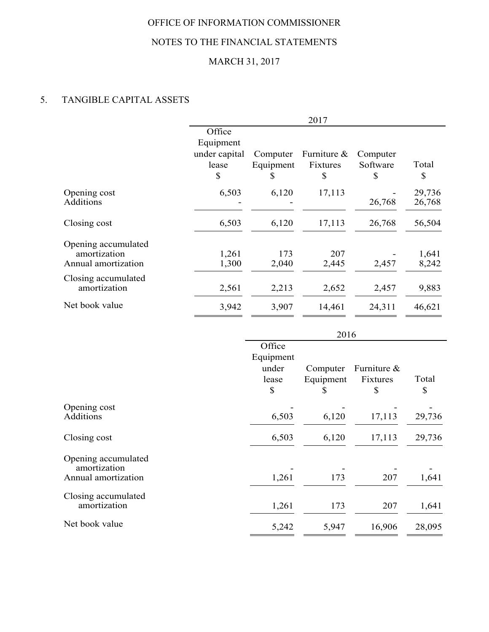# NOTES TO THE FINANCIAL STATEMENTS

# MARCH 31, 2017

## 5. TANGIBLE CAPITAL ASSETS

|                                                            |                                                     | 2017                       |                               |                            |                  |
|------------------------------------------------------------|-----------------------------------------------------|----------------------------|-------------------------------|----------------------------|------------------|
|                                                            | Office<br>Equipment<br>under capital<br>lease<br>\$ | Computer<br>Equipment<br>J | Furniture &<br>Fixtures<br>\$ | Computer<br>Software<br>\$ | Total<br>\$      |
| Opening cost<br>Additions                                  | 6,503                                               | 6,120                      | 17,113                        | 26,768                     | 29,736<br>26,768 |
| Closing cost                                               | 6,503                                               | 6,120                      | 17,113                        | 26,768                     | 56,504           |
| Opening accumulated<br>amortization<br>Annual amortization | 1,261<br>1,300                                      | 173<br>2,040               | 207<br>2,445                  | 2,457                      | 1,641<br>8,242   |
| Closing accumulated<br>amortization                        | 2,561                                               | 2,213                      | 2,652                         | 2,457                      | 9,883            |
| Net book value                                             | 3,942                                               | 3,907                      | 14,461                        | 24,311                     | 46,621           |

|                                                            | 2016                                        |                             |                               |             |
|------------------------------------------------------------|---------------------------------------------|-----------------------------|-------------------------------|-------------|
|                                                            | Office<br>Equipment<br>under<br>lease<br>\$ | Computer<br>Equipment<br>\$ | Furniture &<br>Fixtures<br>\$ | Total<br>\$ |
| Opening cost<br><b>Additions</b>                           | 6,503                                       | 6,120                       | 17,113                        | 29,736      |
| Closing cost                                               | 6,503                                       | 6,120                       | 17,113                        | 29,736      |
| Opening accumulated<br>amortization<br>Annual amortization | 1,261                                       | 173                         | 207                           | 1,641       |
| Closing accumulated<br>amortization                        | 1,261                                       | 173                         | 207                           | 1,641       |
| Net book value                                             | 5,242                                       | 5,947                       | 16,906                        | 28,095      |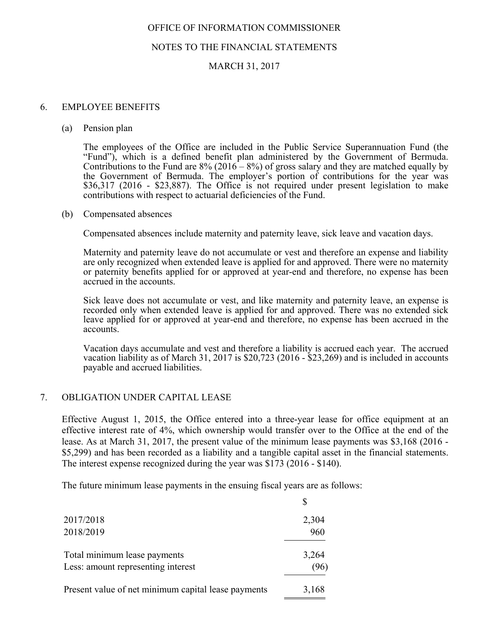#### NOTES TO THE FINANCIAL STATEMENTS

## MARCH 31, 2017

#### 6. EMPLOYEE BENEFITS

#### (a) Pension plan

 The employees of the Office are included in the Public Service Superannuation Fund (the "Fund"), which is a defined benefit plan administered by the Government of Bermuda. Contributions to the Fund are  $8\%$  (2016 –  $8\%$ ) of gross salary and they are matched equally by the Government of Bermuda. The employer's portion of contributions for the year was \$36,317 (2016 - \$23,887). The Office is not required under present legislation to make contributions with respect to actuarial deficiencies of the Fund.

#### (b) Compensated absences

Compensated absences include maternity and paternity leave, sick leave and vacation days.

 Maternity and paternity leave do not accumulate or vest and therefore an expense and liability are only recognized when extended leave is applied for and approved. There were no maternity or paternity benefits applied for or approved at year-end and therefore, no expense has been accrued in the accounts.

 Sick leave does not accumulate or vest, and like maternity and paternity leave, an expense is recorded only when extended leave is applied for and approved. There was no extended sick leave applied for or approved at year-end and therefore, no expense has been accrued in the accounts.

Vacation days accumulate and vest and therefore a liability is accrued each year. The accrued vacation liability as of March 31, 2017 is \$20,723 (2016 - \$23,269) and is included in accounts payable and accrued liabilities.

#### 7. OBLIGATION UNDER CAPITAL LEASE

Effective August 1, 2015, the Office entered into a three-year lease for office equipment at an effective interest rate of 4%, which ownership would transfer over to the Office at the end of the lease. As at March 31, 2017, the present value of the minimum lease payments was \$3,168 (2016 - \$5,299) and has been recorded as a liability and a tangible capital asset in the financial statements. The interest expense recognized during the year was \$173 (2016 - \$140).

 $\triangle$ 

The future minimum lease payments in the ensuing fiscal years are as follows:

| 2017/2018                                           | 2,304 |
|-----------------------------------------------------|-------|
| 2018/2019                                           | 960   |
| Total minimum lease payments                        | 3,264 |
| Less: amount representing interest                  | 96    |
| Present value of net minimum capital lease payments | 3,168 |